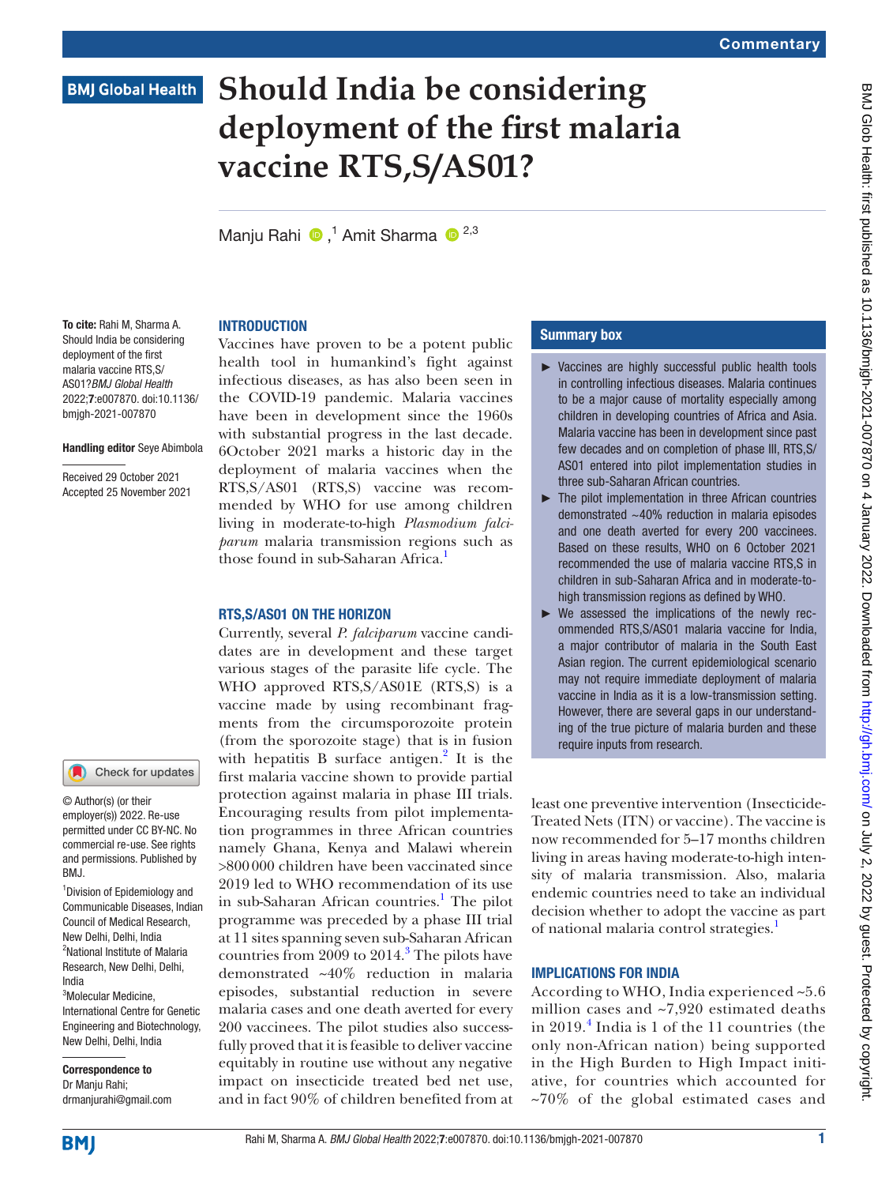### **BMJ Global Health**

# **Should India be considering deployment of the first malaria vaccine RTS,S/AS01?**

Manju Rahi <sup>®</sup>,<sup>1</sup> Amit Sharma <sup>® 2,3</sup>

### **INTRODUCTION**

To cite: Rahi M, Sharma A. Should India be considering deployment of the first malaria vaccine RTS,S/ AS01?*BMJ Global Health* 2022;7:e007870. doi:10.1136/ bmjgh-2021-007870

### Handling editor Seye Abimbola

Received 29 October 2021 Accepted 25 November 2021

### Check for updates

© Author(s) (or their employer(s)) 2022. Re-use permitted under CC BY-NC. No commercial re-use. See rights and permissions. Published by BMJ.

1 Division of Epidemiology and Communicable Diseases, Indian Council of Medical Research, New Delhi, Delhi, India <sup>2</sup>National Institute of Malaria Research, New Delhi, Delhi, India

3 Molecular Medicine, International Centre for Genetic Engineering and Biotechnology, New Delhi, Delhi, India

Correspondence to Dr Manju Rahi; drmanjurahi@gmail.com Vaccines have proven to be a potent public health tool in humankind's fight against infectious diseases, as has also been seen in the COVID-19 pandemic. Malaria vaccines have been in development since the 1960s with substantial progress in the last decade. 6October 2021 marks a historic day in the deployment of malaria vaccines when the RTS,S/AS01 (RTS,S) vaccine was recommended by WHO for use among children living in moderate-to-high *Plasmodium falciparum* malaria transmission regions such as those found in sub-Saharan Africa.<sup>1</sup>

### RTS,S/AS01 ON THE HORIZON

Currently, several *P. falciparum* vaccine candidates are in development and these target various stages of the parasite life cycle. The WHO approved RTS,S/AS01E (RTS,S) is a vaccine made by using recombinant fragments from the circumsporozoite protein (from the sporozoite stage) that is in fusion with hepatitis B surface antigen.<sup>[2](#page-2-1)</sup> It is the first malaria vaccine shown to provide partial protection against malaria in phase III trials. Encouraging results from pilot implementation programmes in three African countries namely Ghana, Kenya and Malawi wherein >800000 children have been vaccinated since 2019 led to WHO recommendation of its use in sub-Saharan African countries.<sup>[1](#page-2-0)</sup> The pilot programme was preceded by a phase III trial at 11 sites spanning seven sub-Saharan African countries from 2009 to 2014.<sup>3</sup> The pilots have demonstrated ~40% reduction in malaria episodes, substantial reduction in severe malaria cases and one death averted for every 200 vaccinees. The pilot studies also successfully proved that it is feasible to deliver vaccine equitably in routine use without any negative impact on insecticide treated bed net use, and in fact 90% of children benefited from at

### Summary box

- ► Vaccines are highly successful public health tools in controlling infectious diseases. Malaria continues to be a major cause of mortality especially among children in developing countries of Africa and Asia. Malaria vaccine has been in development since past few decades and on completion of phase III, RTS,S/ AS01 entered into pilot implementation studies in three sub-Saharan African countries.
- ► The pilot implementation in three African countries demonstrated ~40% reduction in malaria episodes and one death averted for every 200 vaccinees. Based on these results, WHO on 6 October 2021 recommended the use of malaria vaccine RTS,S in children in sub-Saharan Africa and in moderate-tohigh transmission regions as defined by WHO.
- ► We assessed the implications of the newly recommended RTS,S/AS01 malaria vaccine for India, a major contributor of malaria in the South East Asian region. The current epidemiological scenario may not require immediate deployment of malaria vaccine in India as it is a low-transmission setting. However, there are several gaps in our understanding of the true picture of malaria burden and these require inputs from research.

least one preventive intervention (Insecticide-Treated Nets (ITN) or vaccine). The vaccine is now recommended for 5–17 months children living in areas having moderate-to-high intensity of malaria transmission. Also, malaria endemic countries need to take an individual decision whether to adopt the vaccine as part of national malaria control strategies.<sup>[1](#page-2-0)</sup>

### IMPLICATIONS FOR INDIA

According to WHO, India experienced ~5.6 million cases and ~7,920 estimated deaths in 2019.[4](#page-2-3) India is 1 of the 11 countries (the only non-African nation) being supported in the High Burden to High Impact initiative, for countries which accounted for  $~10\%$  of the global estimated cases and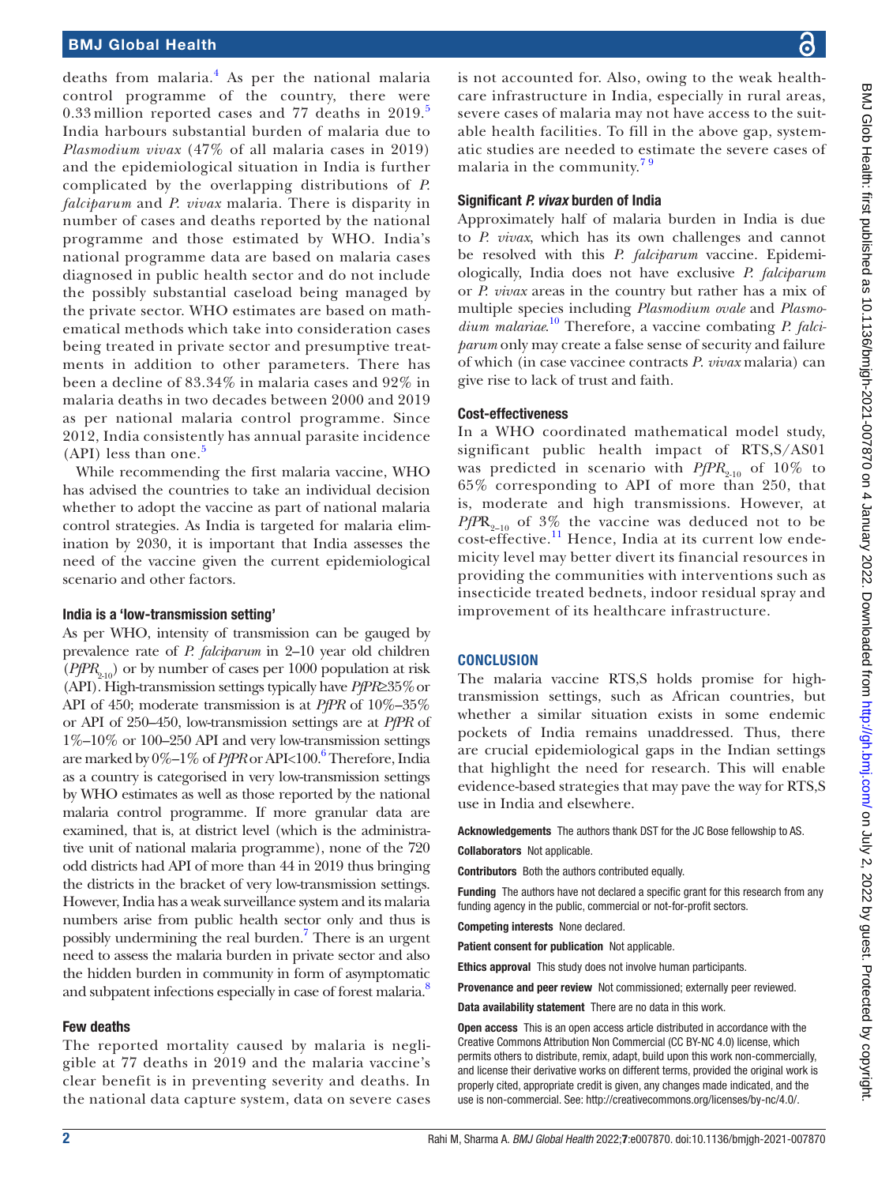### BMJ Global Health

deaths from malaria.<sup>[4](#page-2-3)</sup> As per the national malaria control programme of the country, there were 0.33 million reported cases and  $77$  deaths in  $2019$ . India harbours substantial burden of malaria due to *Plasmodium vivax* (47% of all malaria cases in 2019) and the epidemiological situation in India is further complicated by the overlapping distributions of *P. falciparum* and *P. vivax* malaria. There is disparity in number of cases and deaths reported by the national programme and those estimated by WHO. India's national programme data are based on malaria cases diagnosed in public health sector and do not include the possibly substantial caseload being managed by the private sector. WHO estimates are based on mathematical methods which take into consideration cases being treated in private sector and presumptive treatments in addition to other parameters. There has been a decline of 83.34% in malaria cases and 92% in malaria deaths in two decades between 2000 and 2019 as per national malaria control programme. Since 2012, India consistently has annual parasite incidence  $(API)$  less than one.<sup>[5](#page-2-4)</sup>

While recommending the first malaria vaccine, WHO has advised the countries to take an individual decision whether to adopt the vaccine as part of national malaria control strategies. As India is targeted for malaria elimination by 2030, it is important that India assesses the need of the vaccine given the current epidemiological scenario and other factors.

### India is a 'low-transmission setting'

As per WHO, intensity of transmission can be gauged by prevalence rate of *P. falciparum* in 2–10 year old children  $(PfPR_{210})$  or by number of cases per 1000 population at risk (API). High-transmission settings typically have *PfPR*≥35%or API of 450; moderate transmission is at *PfPR* of 10%–35% or API of 250–450, low-transmission settings are at *PfPR* of 1%–10% or 100–250 API and very low-transmission settings are marked by 0%-1% of *PfPR* or API<100.<sup>6</sup> Therefore, India as a country is categorised in very low-transmission settings by WHO estimates as well as those reported by the national malaria control programme. If more granular data are examined, that is, at district level (which is the administrative unit of national malaria programme), none of the 720 odd districts had API of more than 44 in 2019 thus bringing the districts in the bracket of very low-transmission settings. However, India has a weak surveillance system and its malaria numbers arise from public health sector only and thus is possibly undermining the real burden.<sup>7</sup> There is an urgent need to assess the malaria burden in private sector and also the hidden burden in community in form of asymptomatic and subpatent infections especially in case of forest malaria.<sup>8</sup>

### Few deaths

The reported mortality caused by malaria is negligible at 77 deaths in 2019 and the malaria vaccine's clear benefit is in preventing severity and deaths. In the national data capture system, data on severe cases is not accounted for. Also, owing to the weak healthcare infrastructure in India, especially in rural areas, severe cases of malaria may not have access to the suitable health facilities. To fill in the above gap, systematic studies are needed to estimate the severe cases of malaria in the community. $79$ 

### Significant *P. vivax* burden of India

Approximately half of malaria burden in India is due to *P. vivax*, which has its own challenges and cannot be resolved with this *P. falciparum* vaccine. Epidemiologically, India does not have exclusive *P. falciparum* or *P. vivax* areas in the country but rather has a mix of multiple species including *Plasmodium ovale* and *Plasmodium malariae*. [10](#page-2-8) Therefore, a vaccine combating *P. falciparum* only may create a false sense of security and failure of which (in case vaccinee contracts *P*. *vivax* malaria) can give rise to lack of trust and faith.

### Cost-effectiveness

In a WHO coordinated mathematical model study, significant public health impact of RTS,S/AS01 was predicted in scenario with  $PfPR_{2-10}$  of 10% to 65% corresponding to API of more than 250, that is, moderate and high transmissions. However, at  $PfPR_{9-10}$  of 3% the vaccine was deduced not to be  $\frac{1}{200}$  cost-effective.<sup>11</sup> Hence, India at its current low endemicity level may better divert its financial resources in providing the communities with interventions such as insecticide treated bednets, indoor residual spray and improvement of its healthcare infrastructure.

### **CONCLUSION**

The malaria vaccine RTS,S holds promise for hightransmission settings, such as African countries, but whether a similar situation exists in some endemic pockets of India remains unaddressed. Thus, there are crucial epidemiological gaps in the Indian settings that highlight the need for research. This will enable evidence-based strategies that may pave the way for RTS,S use in India and elsewhere.

Acknowledgements The authors thank DST for the JC Bose fellowship to AS. Collaborators Not applicable.

Contributors Both the authors contributed equally.

Funding The authors have not declared a specific grant for this research from any funding agency in the public, commercial or not-for-profit sectors.

Competing interests None declared.

Patient consent for publication Not applicable.

Ethics approval This study does not involve human participants.

Provenance and peer review Not commissioned; externally peer reviewed.

Data availability statement There are no data in this work.

Open access This is an open access article distributed in accordance with the Creative Commons Attribution Non Commercial (CC BY-NC 4.0) license, which permits others to distribute, remix, adapt, build upon this work non-commercially, and license their derivative works on different terms, provided the original work is properly cited, appropriate credit is given, any changes made indicated, and the use is non-commercial. See: <http://creativecommons.org/licenses/by-nc/4.0/>.